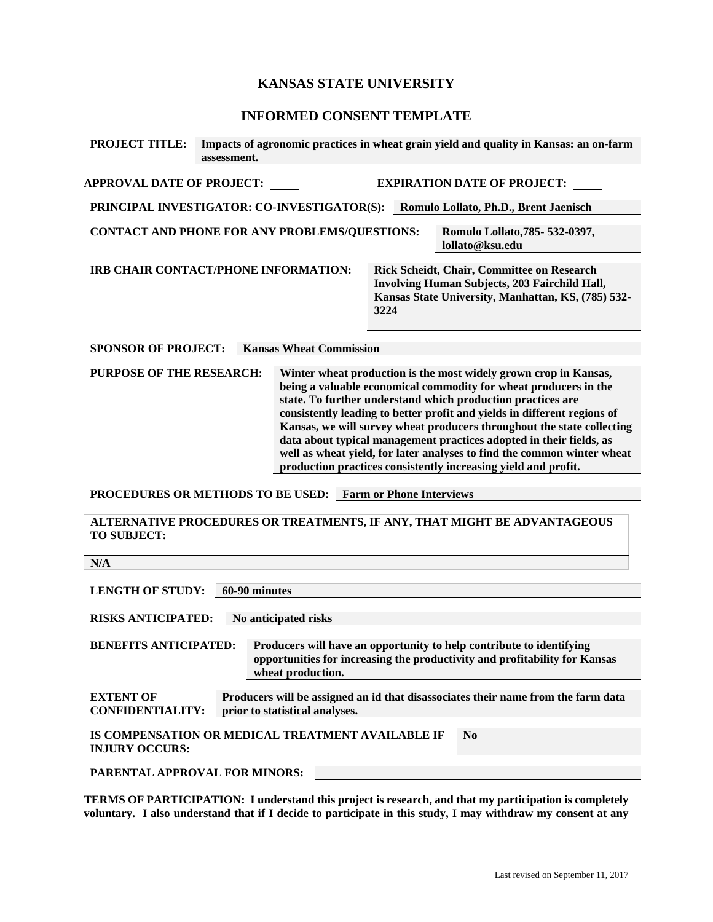## **KANSAS STATE UNIVERSITY**

## **INFORMED CONSENT TEMPLATE**

| <b>PROJECT TITLE:</b>                                                                | assessment.                                          |      | Impacts of agronomic practices in wheat grain yield and quality in Kansas: an on-farm                                                                           |  |  |
|--------------------------------------------------------------------------------------|------------------------------------------------------|------|-----------------------------------------------------------------------------------------------------------------------------------------------------------------|--|--|
| <b>APPROVAL DATE OF PROJECT:</b>                                                     |                                                      |      | <b>EXPIRATION DATE OF PROJECT:</b>                                                                                                                              |  |  |
| PRINCIPAL INVESTIGATOR: CO-INVESTIGATOR(S):<br>Romulo Lollato, Ph.D., Brent Jaenisch |                                                      |      |                                                                                                                                                                 |  |  |
|                                                                                      | <b>CONTACT AND PHONE FOR ANY PROBLEMS/QUESTIONS:</b> |      | Romulo Lollato, 785 - 532 - 0397,<br>lollato@ksu.edu                                                                                                            |  |  |
|                                                                                      | <b>IRB CHAIR CONTACT/PHONE INFORMATION:</b>          | 3224 | <b>Rick Scheidt, Chair, Committee on Research</b><br><b>Involving Human Subjects, 203 Fairchild Hall,</b><br>Kansas State University, Manhattan, KS, (785) 532- |  |  |
| <b>SPONSOR OF PROJECT:</b>                                                           | <b>Kansas Wheat Commission</b>                       |      |                                                                                                                                                                 |  |  |
| BURBACE AR BUR BROB LB CU<br>.<br>$\cdot$ $\cdot$ $\cdot$                            |                                                      |      |                                                                                                                                                                 |  |  |

**PURPOSE OF THE RESEARCH: Winter wheat production is the most widely grown crop in Kansas, being a valuable economical commodity for wheat producers in the state. To further understand which production practices are consistently leading to better profit and yields in different regions of Kansas, we will survey wheat producers throughout the state collecting data about typical management practices adopted in their fields, as well as wheat yield, for later analyses to find the common winter wheat production practices consistently increasing yield and profit.**

**PROCEDURES OR METHODS TO BE USED: Farm or Phone Interviews**

**ALTERNATIVE PROCEDURES OR TREATMENTS, IF ANY, THAT MIGHT BE ADVANTAGEOUS TO SUBJECT:**

**N/A**

| <b>LENGTH OF STUDY:</b>                                                                                                                                                                                 | 60-90 minutes                                                                                                       |  |  |  |
|---------------------------------------------------------------------------------------------------------------------------------------------------------------------------------------------------------|---------------------------------------------------------------------------------------------------------------------|--|--|--|
| <b>RISKS ANTICIPATED:</b><br>No anticipated risks                                                                                                                                                       |                                                                                                                     |  |  |  |
| <b>BENEFITS ANTICIPATED:</b><br>Producers will have an opportunity to help contribute to identifying<br>opportunities for increasing the productivity and profitability for Kansas<br>wheat production. |                                                                                                                     |  |  |  |
| <b>EXTENT OF</b><br><b>CONFIDENTIALITY:</b>                                                                                                                                                             | Producers will be assigned an id that disassociates their name from the farm data<br>prior to statistical analyses. |  |  |  |
| IS COMPENSATION OR MEDICAL TREATMENT AVAILABLE IF<br>N <sub>0</sub><br><b>INJURY OCCURS:</b>                                                                                                            |                                                                                                                     |  |  |  |
| <b>PARENTAL APPROVAL FOR MINORS:</b>                                                                                                                                                                    |                                                                                                                     |  |  |  |

**TERMS OF PARTICIPATION: I understand this project is research, and that my participation is completely voluntary. I also understand that if I decide to participate in this study, I may withdraw my consent at any**